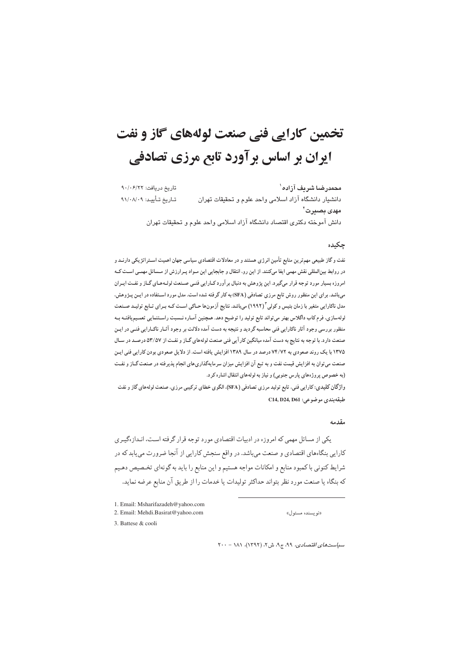# تخمین کارایی فنی صنعت لولههای گاز و نفت ایران بر اساس بر آورد تابع مرزی تصادفی

محمدرضا شريف آزاده` تاریخ دریافت: ۹۰/۰۶/۲۲ تاريخ تأييد: ٩١/٠٨/٠٩ دانشیار دانشگاه آزاد اسلامی واحد علوم و تحقیقات تهران مهدی بصبر ت<sup>۲</sup> دانش آموخته دكترى اقتصاد دانشگاه آزاد اسلامى واحد علوم و تحقيقات تهران

## چکیده

نفت و گاز طبیعی مهمترین منابع تأمین انرژی هستند و در معادلات اقتصادی سیاسی جهان اهمیت اسـتراتژیکی دارنـد و در روابط بینالمللی نقش مهمی ایفا میکنند. از این رو، انتقال و جابجایی این مـواد پـرارزش از مـسائل مهمـی اسـت کـه امروزه بسیار مورد توجه قرار میگیرد. این پژوهش به دنبال بر آورد کـارایی فنـی صـنعت لولـههـای گـاز و نفـت ایـران میباشد. برای این منظور روش تابع مرزی تصادفی (SFA) به کار گرفته شده است. مدل مورد اسـتفاده در ایـن پـژوهش، مدل ناکارایی متغیر با زمان بتیس و کولی "(۱۹۹۲) میباشد. نتایج آزمونها حـاکی اسـت کـه بـرای تـابع تولیـد صـنعت لولهسازي، فرم كاب داگلاس بهتر مىتواند تابع توليد را توضيح دهد. همچنين آمـاره نـسبت راسـتنمايي تعمـيم.يافتـه بـه منظور بررسی وجود آثار ناکارایی فنی محاسبه گردید و نتیجه به دست آمده دلالت بر وجود آثـار ناکـارایی فنـی در ایـن صنعت دارد. با توجه به نتایج به دست آمده میانگین کار آیی فنی صنعت لولههای گـاز و نفـت از ۵۳/۵۷ درصـد در سـال ۱۳۷۵ با یک روند صعودی به ۷۴/۷۲ درصد در سال ۱۳۸۹ افزایش یافته است. از دلایل صعودی بودن کارایی فنی ایـن صنعت می توان به افزایش قیمت نفت و به تبع آن افزایش میزان سرمایهگذاری های انجام پذیرفته در صنعت گـاز و نفـت (به خصوص پروژههای پارس جنوبی) و نیاز به لولههای انتقال اشاره کرد.

واژگان کلیدی: کارایی فنی، تابع تولید مرزی تصادفی (SFA)، الگوی خطای ترکیبی مرزی، صنعت لولههای گاز و نفت طبقەبندى موضوعى: C14, D24, D61

#### مقدمه

یکی از مسائل مهمی که امروزه در ادبیات اقتصادی مورد توجه قرار گرفته است، انـدازهگیـری کارایی بنگاههای اقتصادی و صنعت می باشد. در واقع سنجش کارایی از آنجا ضرورت می یابد که در شرایط کنونی با کمبود منابع و امکانات مواجه هستیم و این منابع را باید به گونهای تخـصیص دهـیم كه بنگاه يا صنعت مورد نظر بتواند حداكثر توليدات يا خدمات را از طريق آن منابع عرضه نمايد.

1. Email: Msharifazadeh@yahoo.com

2. Email: Mehdi.Basirat@yahoo.com

3. Battese  $&$  cooli

 $Y \cdot \cdot - \lambda \wedge \cdot (Y \wedge Y)$  سیاست *های اقتصادی، ۹۹، ج۹،* ش۲، (۱۳۹۲)، ۸۱۱ -

((نو يسنده مسئو ل))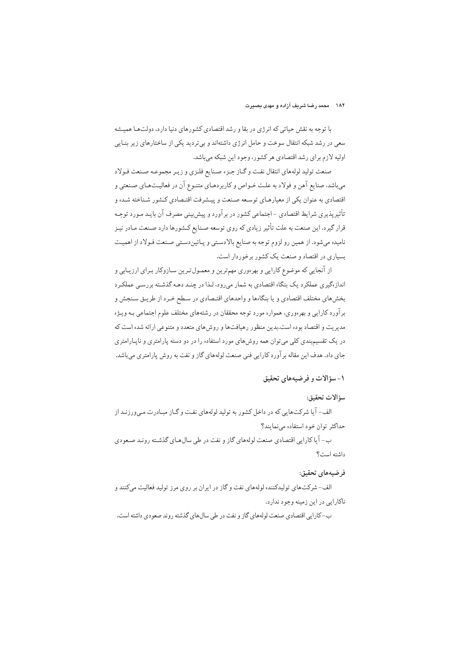با توجه به نقش حیاتی که انرژی در بقا و رشد اقتصادی کشورهای دنیا دارد، دولتها همیشه سعی در رشد شبکه انتقال سوخت و حامل انرژی داشتهاند و بیتردید یکی از ساختارهای زیر بنـایی اولیه لازم برای رشد اقتصادی هر کشور، وجود این شبکه میباشد.

صنعت توليد لولههاي انتقال نفت وكحاز جزء صنايع فلزى و زير مجموعه صنعت فولاد میباشد. صنایع آهن و فولاد به علت خـواص و کاربردهـای متنـوع آن در فعالیـتهـای صـنعتی و اقتصادی به عنوان یکی از معیارهـای توسـعه صـنعت و پیـشرفت اقتـصادی کـشور شـناخته شـده و تأثیریذیری شرایط اقتصادی –اجتماعی کشور در برآورد و پیش بینی مصرف آن بایـد مـورد توجـه قرار گیرد. این صنعت به علت تأثیر زیادی که روی توسعه صـنایع کـشورها دارد صـنعت مـادر نیـز نامیده میشود. از همین رو لزوم توجه به صنایع بالادستی و پائیندستی صنعت فولاد از اهمیت بسیاری در اقتصاد و صنعت یک کشور برخوردار است.

از آنجایی که موضوع کارایی و بهرهوری مهمترین و معمـولتـرین سـازوکار بـرای ارزیـابی و اندازهگیری عملکرد یک بنگاه اقتصادی به شمار میرود، لـذا در چنـد دهـه گذشـته بررسـی عملکـرد بخشهای مختلف اقتصادی و یا بنگاهها و واحدهای اقتصادی در سطح خـرد از طریـق سـنجش و بر آورد کارایی و بهرهوری، همواره مورد توجه محققان در رشتههای مختلف علوم اجتماعی بـه ویـژه مدیریت و اقتصاد بوده است.بدین منظور رهبافتها و روش های متعدد و متنوعی ارائه شده است که در یک تقسیم.بندی کلی میتوان همه روشهای مورد استفاده را در دو دسته پارامتری و ناپـارامتری جای داد. هدف این مقاله برآورد کارایی فنی صنعت لولههای گاز و نفت به روش پارامتری میباشد.

## ١-سؤالات و فرضيههای تحقيق

## سؤالات تحقيق:

الف-آيا شركتهايي كه در داخل كشور به توليد لولههاي نفت و گـاز مبـادرت مـىورزنـد از حداكثر توان خود استفاده مى نمايند؟

ب- آیا کارایی اقتصادی صنعت لولههای گاز و نفت در طی سالهای گذشته رونـد صـعودی داشته است؟

## فرضيههاي تحقيق:

الف-شرکتهای تولیدکننده لولههای نفت و گاز در ایران بر روی مرز تولید فعالیت میکنند و ناكارايي در اين زمينه وجود ندارد.

ب-کارایی اقتصادی صنعت لولههای گاز و نفت در طی سالهای گذشته روند صعودی داشته است.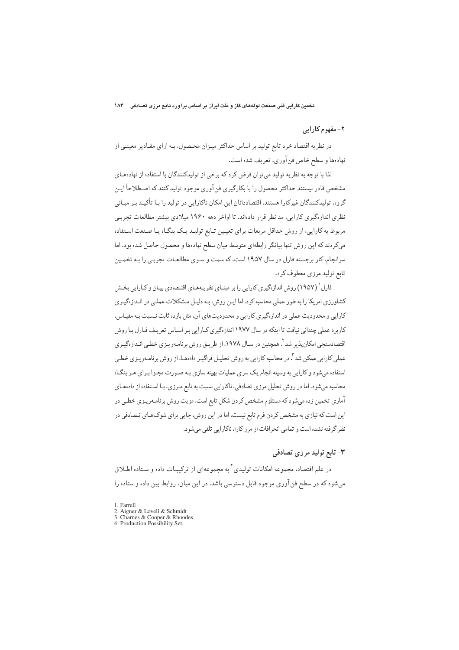# ۲- مفهوم کارایی

در نظریه اقتصاد خرد تابع تولید بر اساس حداکثر میـزان محـصول، بـه ازای مقـادیر معینـی از نهادهها و سطح خاص فن آوري، تعريف شده است.

لذا يا توجه به نظر به توليد مي توان فرض كرد كه برخي از توليدكنندگان با استفاده از نهادههـاي مشخص قادر نیستند حداکثر محصول را با بکارگیری فن آوری موجود تولید کنند که اصـطلاحاً ایـن گروه، تولیدکنندگان غیرکارا هستند. اقتصاددانان این امکان ناکارایی در تولید را بـا تأکیـد بـر مبـانی نظری انداز ،گیری کارایی، مد نظر قرار دادهاند. تا اواخر دهه ۱۹۶۰ میلادی بیشتر مطالعات تجربے مربوط به کارایی، از روش حداقل مربعات برای تعیمین تـابع تولیـد یـک بنگـاه یـا صـنعت اسـتفاده میکردند که این روش تنها بیانگر رابطهای متوسط میان سطح نهادهها و محصول حاصل شده بود. اما سرانجام، کار برجسته فارل در سال ۱۹۵۷ است، که سمت و سـوی مطالعـات تجربـی را بـه تخمـین تابع تولید مرزي معطوف کر د.

فارل<sup>(</sup> (۱۹۵۷) روش اندازهگیری کارایی را بر مبنـای نظر یـههـای اقتـصادی بیـان و کـارایی بخـش کشاورزی امریکا را به طور عملی محاسبه کرد. اما ایـن روش، بـه دلیـل مـشکلات عملـی در انـدازهگیـری کارایی و محدودیت عملی در اندازهگیری کارایی و محدودیتهای آن، مثل بازده ثابت نـسبت بـه مقیـاس، کاربرد عملی چندانی نیافت تا اینکه در سال ۱۹۷۷ اندازهگیری کـارایی بـر اسـاس تعریـف فـارل بـا روش اقتصادسنجی امکان پذیر شد <sup>۲</sup>. همچنین در سـال ۱۹۷۸، از طریـق روش برنامـهریـزی خطـی انـداز هگـری عملی کارایی ممکن شد ". در محاسبه کارایی به روش تحلیـل فراگیـر دادهـا، از روش برنامـهریـزی خطـی استفاده می شود و کارایی به وسیله انجام یک سری عملیات بهینه سازی بـه صـورت مجـزا بـرای هـر بنگـاه محاسبه می شود. اما در روش تحلیل مرزی تصادفی، ناکارایی نسبت به تابع مـرزی، بـا اسـتفاده از دادههـای آماری تخمین زده میشود که مستلزم مشخص کردن شکل تابع است. مزیت روش برنامـهریـزی خطـی در این است که نیازی به مشخص کردن فرم تابع نیست، اما در این روش، جایی برای شوکهای تصادفی در نظر گرفته نشده است و تمامی انحرافات از مرز کارا، ناکارایی تلقی می شود.

# ۳- تابع تولید مرزی تصادفی

در علم اقتصاد، مجموعه امکانات تولیدی<sup>۲</sup> به مجموعهای از ترکیبـات داده و سـتاده اطـلاق میشود که در سطح فن آوری موجود قابل دسترسی باشد. در این میان، روابط بین داده و ستاده را

1. Farrell

<sup>2.</sup> Aigner & Lovell & Schmidt

<sup>3.</sup> Charnes & Cooper & Rhoodes

<sup>4.</sup> Production Possibility Set.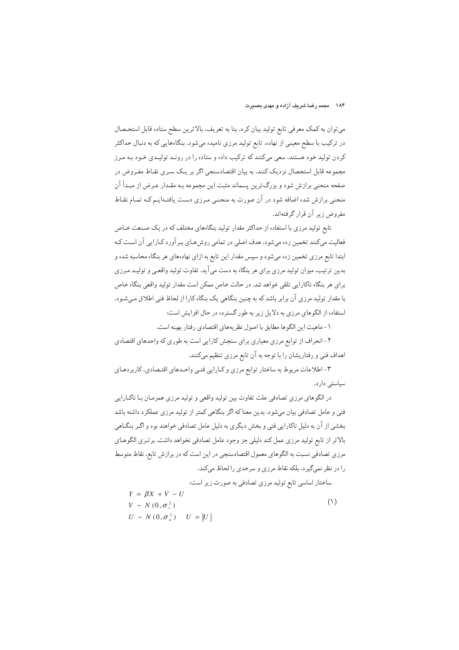می توان به کمک معرفی تابع تولید بیان کرد. بنا به تعریف، بالاترین سطح ستاده قابل استحصال در ترکیب با سطح معینی از نهاده. تابع تولید مرزی نامیده میشود. بنگاههایی که به دنبال حداکثر کردن تولید خود هستند، سعی میکنند که ترکیب داده و ستاده را در رونـد تولیـدی خـود بـه مـرز مجموعه قابل استحصال نزدیک کنند. به بیان اقتصادسنجی اگر بر یک سری نقـاط مفـروض در صفحه منحنی برازش شود و بزرگ ترین پسماند مثبت این مجموعه بـه مقـدار عـرض از مبـدأ آن منحنی برازش شده اضافه شود در آن صورت به منحنبی مـرزی دسـت یافتـه|یـم کـه تمـام نقـاط مفروض زیر آن قرار گرفتهاند.

تابع تولید مرزی با استفاده از حداکثر مقدار تولید بنگاههای مختلف که در یک صنعت خـاص فعالیت میکنند تخمین زده میشود. هدف اصلی در تمامی روش هـای بـر آورد کـارایی آن اسـت کـه ابتدا تابع مرزی تخمین زده میشود و سپس مقدار این تابع به ازای نهادههای هر بنگاه محاسبه شده و بدین ترتیب، میزان تولید مرزی برای هر بنگاه به دست میآید. تفاوت تولید واقعـی و تولیـد مـرزی برای هر بنگاه ناکارایی تلقی خواهد شد. در حالت خاص ممکن است مقدار تولید واقعی بنگاه خاص با مقدار تولید مرزی آن برابر باشد که به چنین بنگاهی یک بنگاه کارا از لحاظ فنی اطلاق میشود. استفاده از الگوهای مرزی به دلایل زیر به طور گسترده در حال افزایش است:

١- ماهيت اين الگوها مطابق با اصول نظريههاي اقتصادي رفتار بهينه است.

۲- انحراف از توابع مرزي معياري براي سنجش كارايي است به طوري كه واحدهاي اقتصادي اهداف فنی و رفتاریشان را با توجه به آن تابع مرزی تنظیم میکنند.

۳- اطلاعات مربوط به ساختار توابع مرزى وكارايي فنبي واحـدهاي اقتـصادي، كاربردهـاي سیاستی دارد.

در الگوهای مرزی تصادفی علت تفاوت بین تولید واقعی و تولید مرزی همزمان بـا ناکـارایی فنی و عامل تصادفی بیان میشود. بدین معناکه اگر بنگاهی کمتر از تولید مرزی عملکرد داشته باشد بخشي از آن به دلیل ناکارایي فني و بخش ديگري به دلیل عامل تصادفي خواهند بود و اگـر بنگـاهي بالاتر از تابع توليد مرزى عمل كند دليلي جز وجود عامل تصادفي نخواهد داشت. برتـرى الگوهـاي مرزی تصادفی نسبت به الگوهای معمول اقتصادسنجی در این است که در برازش تابع، نقاط متوسط را در نظر نمیگیرد، بلکه نقاط مرزی و سرحدی را لحاظ میکند.

$$
Y = \beta X + V - U
$$
  
\n
$$
Y = \beta X + V - U
$$
\n
$$
V \sim N(0, \sigma_v^2)
$$
\n
$$
U \sim N(0, \sigma_u^2) \qquad U = |U|
$$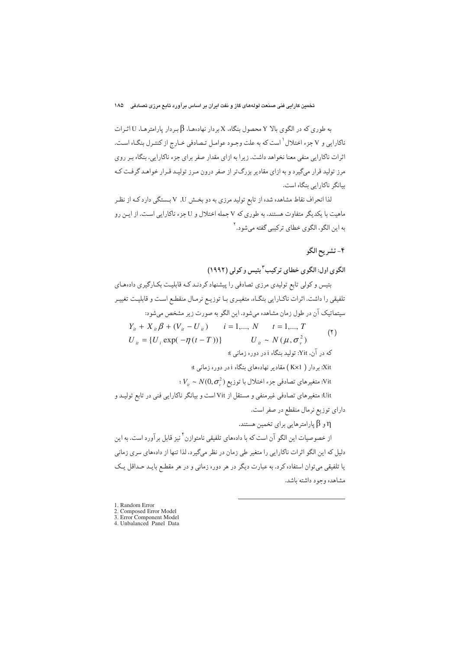به طوري كه در الگوي بالا Y محصول بنگاه، X بردار نهادهها، B بـردار يارامترهـا، U اثـرات ناكارايي و V جزء اختلال ٰ است كه به علت وجـود عوامـل تـصادفي خـارج از كنتـرل بنگـاه اسـت. اثرات ناکارایی منفی معنا نخواهد داشت. زیرا به ازای مقدار صفر برای جزء ناکارایی، بنگاه بـر روی مرز تولید قرار میگیرد و به ازای مقادیر بزرگ تر از صفر درون مـرز تولیـد قـرار خواهـد گرفـت کـه بیانگر ناکارایی بنگاه است.

لذا انحراف نقاط مشاهده شده از تابع تولید مرزی به دو بخش U, V بـستگی دارد کـه از نظـ ماهیت با یکدیگر متفاوت هستند، به طوری که V جمله اختلال و U جزء ناکارایی است. از ایـن رو به اين الگو ، الگو ي خطاي ترکيبي گفته مي شو د.<sup>۲</sup>

# ۴- تشريح الگو

الگوی اول: الگوی خطای ترکیب <sup>۳</sup> بتیس و کولی (۱۹۹۲)

بتیس و کولی تابع تولیدی مرزی تصادفی را پیشنهاد کردنـد کـه قابلیـت بکـارگیری دادههـای تلفیقی را داشت. اثرات ناکبارایی بنگاه، متغیـری بـا توزیـع نرمـال منقطـع اسـت و قابلیـت تغییـر سیتماتیک آن در طول زمان مشاهده میشود. این الگو به صورت زیر مشخص میشود:

 $Y_{ii} + X_{ii} \beta + (V_{ii} - U_{ii})$   $i = 1,..., N$   $t = 1,..., T$  $(5)$  $U_{\mu} \sim N(\mu, \sigma^2)$  $U_{it} = \{U_{it} \exp(-\eta(t-T))\}$ که در آن، Yit: تولید بنگاه i در دوره زمانی t: Xit: بردار ( Kx1 ) مقادیر نهادههای بنگاه i در دوره زمانی t:  $\overline{V}_i \sim N(0,\sigma_{\rm v}^2)$  : متغيرهاي تصادفي جزء اختلال با توزيع: Uit: متغیرهای تصادفی غیرمنفی و مستقل از Vit است و بیانگر ناکارایی فنی در تابع تولیـد و دارای توزیع نرمال منقطع در صفر است. و  $\beta$  پارامترهایی برای تخمین هستند.  $\eta$ 

از خصوصیات این الگو آن است که با دادههای تلفیقی نامتوازن<sup>۴</sup> نیز قابل برآورد است. به این دلیل که این الگو اثرات ناکارایی را متغیر طی زمان در نظر میگیرد، لذا تنها از دادههای سری زمانی یا تلفیقی میتوان استفاده کرد. به عبارت دیگر در هر دوره زمانی و در هر مقطع بایـد حـداقل یـک مشاهده وجود داشته باشد.

1. Random Error

2. Composed Error Model

3. Error Component Model 4. Unbalanced Panel Data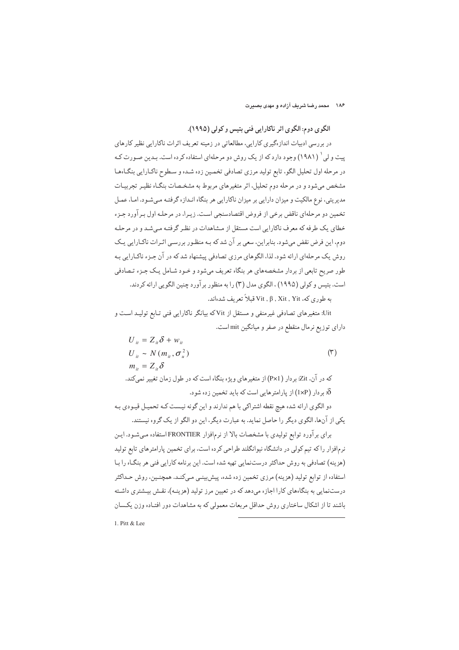۱۸۶ - محمد رضا شریف آزاده و مهدی بصبرت

الگوی دوم: الگوی اثر ناکارایی فنی بتیس و کولی (۱۹۹۵).

در بررسی ادبیات اندازهگیری کارایی، مطالعاتی در زمینه تعریف اثرات ناکارایی نظیر کارهای پیت و لی ` (۱۹۸۱) وجود دارد که از یک روش دو مرحلهای استفاده کرده است. بـدین صـورت کـه در مرحله اول تحلیل الگو، تابع تولید مرزی تصادفی تخمین زده شده و سطوح ناکارایی بنگاهها مشخص میشود و در مرحله دوم تحلیل، اثر متغیرهای مربوط به مشخـصات بنگـاه نظیـر تجربیـات مدیریتی، نوع مالکیت و میزان دارایی بر میزان ناکارایی هر بنگاه انـدازه گرفتـه مـی شـود. امـا، عمـل تخمین دو مرحلهای ناقض برخی از فروض اقتصادسنجی است. زیبرا، در مرحلـه اول بـر آورد جـزء خطای یک طرفه که معرف ناکارایی است مستقل از مشاهدات در نظر گرفتـه مـیشـد و در مرحلـه دوم، این فرض نقض می،شود. بنابراین، سعی بر آن شد که بـه منظـور بررسـی اثـرات ناکـارایی یـک روش یک مرحلهای ارائه شود. لذا، الگوهای مرزی تصادفی پیشنهاد شد که در آن جـزء ناکـارایی بـه طور صریح تابعی از بردار مشخصههای هر بنگاه تعریف می شود و خـود شـامل یـک جـزء تـصادفی است. بتيس و كولي (١٩٩۵) ، الگوى مدل (٣) را به منظور بر آورد چنين الگو بي ارائه كردند.

به طوري كه، Vit , β , Xit , Yit قبلاً تعريف شدهاند.

Uit: متغیرهای تصادفی غیرمنفی و مستقل از Vit که بیانگر ناکارایی فنی تـابع تولیـد اسـت و دارای توزیع نرمال منقطع در صفر و میانگین mit است.

$$
U_{ii} = Z_{ii} \delta + w_{ii}
$$
\n
$$
U_{ii} \sim N (m_{ii}, \sigma_u^2)
$$
\n
$$
m_{ii} = Z_{ii} \delta
$$
\n
$$
\delta
$$
\n
$$
\delta
$$
\n
$$
\delta
$$
\n
$$
\delta
$$
\n
$$
\delta
$$
\n
$$
\delta
$$
\n
$$
\delta
$$
\n
$$
\delta
$$
\n
$$
\delta
$$
\n
$$
\delta
$$
\n
$$
\delta
$$

دو الگوی ارائه شده هیچ نقطه اشتراکی با هم ندارند و این گونه نیست کـه تحمیـل قیـودی بـه یکی از آنها، الگوی دیگر را حاصل نماید. به عبارت دیگر، این دو الگو از یک گروه نیستند.

برای برآورد توابع تولیدی با مشخصات بالا از نرمافزار FRONTIER استفاده میشود. ایـن نرمافزار را که تیم کولی در دانشگاه نیوانگلند طراحی کرده است، برای تخمین پارامترهای تابع تولید (هزینه) تصادفی به روش حداکثر درستنمایی تهیه شده است. این برنامه کارایی فنی هر بنگـاه را بـا استفاده از توابع تولید (هزینه) مرزی تخمین زده شده، پیش بینپی میکنـد. همچنـین، روش حـداکثر درستنمایی به بنگاههای کارا اجازه میدهد که در تعیین مرز تولید (هزینـه)، نقـش بیـشتری داشـته باشند تا از اشکال ساختاری روش حداقل مربعات معمولی که به مشاهدات دور افتـاده وزن یکـسان

1. Pitt  $&$  Lee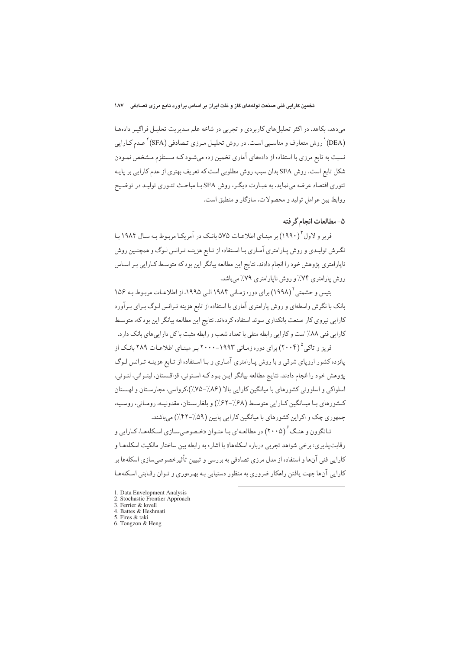میدهد، بکاهد. در اکثر تحلیلهای کاربردی و تجربی در شاخه علم مدیریت تحلیل فراگیـر دادهها (DEA)<sup>\</sup> روش متعارف و مناسبی است. در روش تحلیـل مـرزی تـصادفی (SFA)<sup>۲</sup> عـدم کـارایی نسبت به تابع مرزي با استفاده از دادههاي آماري تخمين زده ميشـود كـه مـستلزم مـشخص نمـودن شکل تابع است. روش SFA بدان سبب روش مطلوبی است که تعریف بهتری از عدم کارایی بر پایـه تئوري اقتصاد عرضه مي نمايد. به عبـارت ديگـر، روش SFA بـا مباحـث تئـوري توليـد در توضـيح روابط بين عوامل توليد و محصولات، سازگار و منطبق است.

# ۵- مطالعات انجام گر فته

فرير و لاول (١٩٩٠) بر مبنـاي اطلاعـات ۵۷۵ بانـک در آمريکـا مربـوط بـه سـال ۱۹۸۴ بـا نگرش تولیدی و روش پارامتری آماری با استفاده از تـابع هزینـه تـرانس لـوگ و همچنـین روش ناپارامتری پژوهش خود را انجام دادند. نتایج این مطالعه بیانگر این بود که متوسط کـارایی بـر اسـاس روش پارامتری ۷۴٪ و روش ناپارامتری ۷۹٪ میباشد.

بتیس و حشمتی ٔ (۱۹۹۸) برای دوره زمانی ۱۹۸۴ الـی ۱۹۹۵، از اطلاعـات مربـوط بـه ۱۵۶ بانک با نگرش واسطهای و روش پارامتری آماری با استفاده از تابع هزینه تـرانس لـوگ بـرای بـر آورد کارایی نیروی کار صنعت بانکداری سوئد استفاده کردهاند. نتایج این مطالعه بیانگر این بود که، متوسط کارایی فنی ۸۸٪ است و کارایی رابطه منفی با تعداد شعب و رابطه مثبت باکل داراییهای بانک دارد.

فریز و تاکی ۲۰۰۴) برای دوره زمانی ۱۹۹۳-۲۰۰۰ بر مبنـای اطلاعـات ۲۸۹ بانـک از پانزده کشور اروپای شرقی و با روش پـارامتری آمـاری و بـا اسـتفاده از تـابع هزینـه تـرانس لـوگ پژوهش خود را انجام دادند. نتايج مطالعه بيانگر ايـن بـود كـه اسـتوني، قزاقـستان، ليتـواني، لتـوني، اسلواکي و اسلووني کشورهاي با ميانگين کارايي بالا (۸۶٪-۷۵٪)،کرواسي، مجارستان و لهستان كشورهاي با ميانگين كـارايي متوسـط (٤٨/-٤٢٪) و بلغارسـتان، مقدونيـه، رومـاني، روسـيه، جمهوري چک و اکراين کشورهاي با ميانگين کارايي پايين (۵۹/-۴۲٪) مي باشند.

تـانگزون و هنـگ (۲۰۰۵) در مطالعـهای بـا عنـوان «خـصوصیسـازی اسـکلههـا، کـارايي و رقابت پذیری: برخی شواهد تجربی درباره اسکلهها» با اشاره به رابطه بین ساختار مالکیت اسکلههـا و کارایی فنی آنها و استفاده از مدل مرزی تصادفی به بررسی و تبیین تأثیرخصوصیسازی اسکلهها بر کارایی آنها جهت یافتن راهکار ضروری به منظور دستیابی بـه بهـرهوری و تـوان رقـابتی اسـکلههـا

- 1. Data Envelopment Analysis<br>2. Stochastic Frontier Approach
- 3. Ferrier & lovell
- 4. Battes & Heshmati
- 5. Fires & taki
- 6. Tongzon & Heng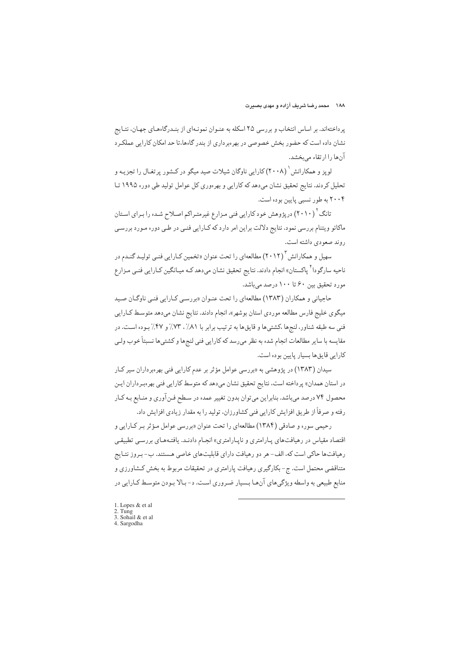پرداختهاند. بر اساس انتخاب و بررسی ۲۵ اسکله به عنـوان نمونـهای از بنـدرگاههـای جهـان، نتـايج نشان داده است که حضور بخش خصوصی در بهرهبرداری از بندر گاهها،تا حد امکان کارایی عملکرد آن ها را ار تقاء مے بخشد.

لویز و همکارانش  $( \mathsf{Y} \cdot \mathsf{A} )$  کارایی ناوگان شیلات صید میگو در کـشور پرتغـال را تجزیـه و تحلیل کردند. نتایج تحقیق نشان می دهد که کارایی و بهرهوری کل عوامل تولید طی دوره ۱۹۹۵ تـا ۲۰۰۴ به طور نسبی پایین بوده است.

تانگ<sup>۲</sup> (۲۰۱۰) در پژوهش خود کارایی فنی مـزارع غیرمتـراکم اصـلاح شـده را بـرای اسـتان ماکائو ویتنام بررسی نمود. نتایج دلالت براین امر دارد که کـارایی فنـی در طـی دوره مـورد بررسـی روند صعودي داشته است.

سهیل و همکارانش ۲۰۱۲) مطالعهای را تحت عنوان «تخمین کـارایی فنـی تولیـد گنـدم در ناحیه سارگودا<sup>۲</sup> پاکستان» انجام دادند. نتایج تحقیق نشان میدهد کـه میـانگین کـارایی فنـی مـزارع مورد تحقیق پین ۶۰ تا ۱۰۰ درصد می باشد.

حاجیانی و همکاران (۱۳۸۳) مطالعهای را تحت عنـوان «بررسـی کـارایی فنـی ناوگـان صـید میگوی خلیج فارس مطالعه موردی استان بوشهر»، انجام دادند. نتایج نشان میدهد متوسط کـارایی فني سه طبقه شناور، لنجرها ،كشتبي ها و قايق ها به ترتيب برابر با ٨١٪، ٧٣٪ و ٤٧٪ بـوده اسـت. در مقايسه با ساير مطالعات انجام شده به نظر مىرسد كه كارايي فني لنجها و كشتىها نسبتاً خوب ولـي كارايي قايق ها بسيار پايين بوده است.

سیدان (۱۳۸۳) در پژوهشی به «بررسی عوامل مؤثر بر عدم کارایی فنی بهرهبرداران سیر کـار در استان همدان» پرداخته است، نتايج تحقيق نشان مىدهد كه متوسط كارايي فني بهرهبرداران ايـن محصول ۷۴ درصد میباشد. بنابراین میتوان بدون تغییر عمده در سطح فـنآوري و منـابع بـه کـار رفته و صرفاً از طريق افزايش كارايي فني كشاورزان، توليد را به مقدار زيادي افزايش داد.

رحيمي سوره و صادقي (١٣٨۴) مطالعهاي را تحت عنوان «بررسي عوامل مؤثر بـر كـارايي و اقتصاد مقیاس در رهیافتهای پارامتری و ناپارامتری» انجام دادنـد. یافتـههـای بررسـی تطبیقـی رهیافتها حاکی است که، الف- هر دو رهیافت دارای قابلیتهای خاصی هستند. ب- بـروز نتـایج متناقضی محتمل است. ج- بکارگیری رهیافت پارامتری در تحقیقات مربوط به بخش کـشاورزی و منابع طبیعی به واسطه ویژگی های آن هـا بـسیار ضـروری اسـت. د- بـالا بـودن متوسـط کـارایی در

- 1. Lopes & et al. 2. Tung<br>3. Sohail & et al.
- 4. Sargodha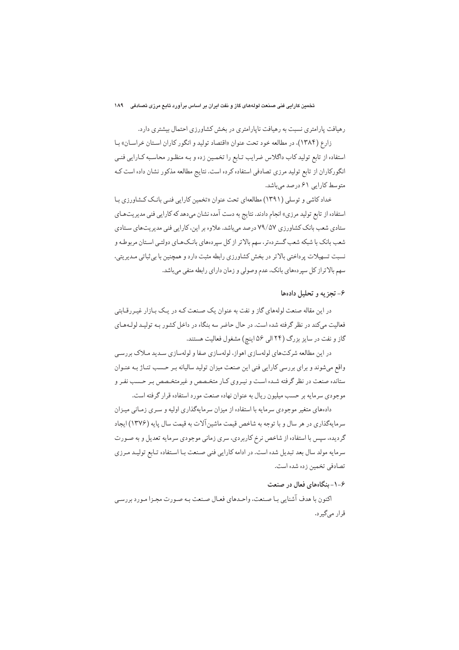رهیافت پارامتری نسبت به رهیافت ناپارامتری در بخش کشاورزی احتمال بیشتری دارد.

زارع (۱۳۸۴)، در مطالعه خود تحت عنوان «اقتصاد توليد و انگور كاران استان خراسان» با استفاده از تابع تولید کاب داگلاس ضرایب تـابع را تخمـین زده و بـه منظـور محاسـبه کـارایی فنـی انگورکاران از تابع تولید مرزی تصادفی استفاده کرده است. نتایج مطالعه مذکور نشان داده است ک متوسط كارايي ۶۱ درصد مي باشد.

خداد کاشی و توسلی (۱۳۹۱) مطالعهای تحت عنوان «تخمین کارایی فنبی بانـک کـشاورزی بـا استفاده از تابع تولید مرزی» انجام دادند. نتایج به دست آمده نشان میدهد که کارایی فنی مدیریتهـای ستادی شعب بانک کشاورزی ۷۹/۵۷ درصد میباشد. علاوه بر این، کارایی فنی مدیریتهای ستادی شعب بانک با شبکه شعب گستردهتر، سهم بالاتر از کل سپردههای بانـکـهـای دولتـی اسـتان مربوطـه و نسبت تسهیلات پرداختی بالاتر در بخش کشاورزی رابطه مثبت دارد و همچنین با بی ثباتی مـدیریتی، سهم بالاتراز کل سپردههای بانک، عدم وصولی و زمان دارای رابطه منفی میباشد.

## ۶- تجزیه و تحلیل دادهها

در این مقاله صنعت لولههای گاز و نفت به عنوان یک صنعت کـه در یـک بـازار غیـررقـابتی فعالیت میکند در نظر گرفته شده است. در حال حاضر سه بنگاه در داخل کشور بـه تولیـد لولـههـای گاز و نفت در سایز بزرگ (۲۴ الی ۵۶ اینچ) مشغول فعالیت هستند.

در این مطالعه شرکتهای لولهسازی اهواز، لولهسازی صفا و لولهسازی سـدید مـلاک بررسـی واقع میشوند و برای بررسی کارایی فنی این صنعت میزان تولید سالیانه بر حسب تناژ به عنوان ستانده صنعت در نظر گرفته شـده اسـت و نيـروي كـار متخـصص و غيرمتخـصص بـر حـسب نفـر و موجودي سرمايه بر حسب ميليون ريال به عنوان نهاده صنعت مورد استفاده قرار گرفته است.

دادههای متغیر موجودی سرمایه با استفاده از میزان سرمایهگذاری اولیه و سـری زمـانی میـزان سرمایهگذاری در هر سال و با توجه به شاخص قیمت ماشین آلات به قیمت سال پایه (۱۳۷۶) ایجاد گردیده، سپس با استفاده از شاخص نرخ کاربردی، سری زمانی موجودی سرمایه تعدیل و به صـورت سرمايه مولد سال بعد تبديل شده است. در ادامه كارايي فني صنعت بـا اسـتفاده تـابع توليـد مـرزى تصادفي تخمين زده شده است.

#### ۶-۱-بنگاههای فعال در صنعت

اكنون با هدف آشنايي بـا صـنعت، واحـدهاي فعـال صـنعت بـه صـورت مجـزا مـورد بررسـي قرار مے گیر د.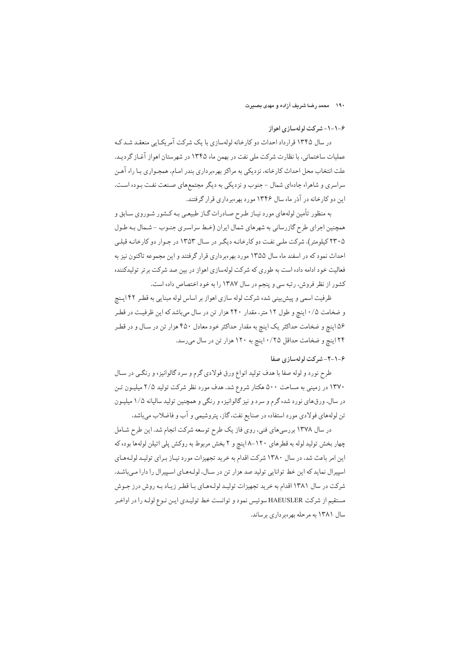## ۶-١-١- شركت لولهسازي اهواز

در سال ۱۳۴۵ قرارداد احداث دو کارخانه لولهسازی با یک شرکت آمریکـایی منعقـد شـد کـه عملیات ساختمانی، با نظارت شرکت ملی نفت در بهمن ماه ۱۳۴۵ در شهرستان اهواز آغـاز گردیـد. علت انتخاب محل احداث كارخانه، نزديكي به مراكز بهرهبرداري بندر امـام، همجـواري بـا راه آهـن سراسري و شاهراه جادهاي شمال -جنوب و نزديكي به ديگر مجتمع هاي صنعت نفت بـوده اسـت. این دو کارخانه در آذر ماه سال ۱۳۴۶ مورد بهرهبرداری قرار گرفتند.

به منظور تأمین لولههای مورد نیـاز طـرح صـادرات گـاز طبیعـی بـه کـشور شـوروی سـابق و همچنین اجرای طرح گازرسانی به شهرهای شمال ایران (خط سراسری جنـوب - شـمال بـه طـول ۲۳۰۵ کیلومتر)، شرکت ملبی نفت دو کارخانـه دیگـر در سـال ۱۳۵۳ در جـوار دو کارخانـه قبلـی احداث نمود که در اسفند ماه سال ۱۳۵۵ مورد بهرهبرداری قرار گرفتند و این مجموعه تاکنون نیز به فعالیت خود ادامه داده است به طوری که شرکت لولهسازی اهواز در بین صد شرکت برتر تولیدکننده کشور از نظر فروش، رتبه سی و پنجم در سال ۱۳۸۷ را به خود اختصاص داده است.

ظرفیت اسمی و پیش بینی شده شرکت لوله سازی اهواز بر اساس لوله مبنایی به قطر ۴۲ ایـنچ و ضخامت ۰/۵ اینچ و طول ۱۲ متر، مقدار ۲۴۰ هزار تن در سال میباشد که این ظرفیت در قطر ۵۶ اینچ و ضخامت حداکثر یک اینچ به مقدار حداکثر خود معادل ۴۵۰ هزار تن در سـال و در قطـر ۲۴ اینچ و ضخامت حداقل ۰/۲۵ اینچ به ۱۲۰ هزار تن در سال می رسد.

# ۶-۱-۲-شرکت لولهسازی صفا

طرح نورد و لوله صفا با هدف توليد انواع ورق فولادي گرم و سرد گالوانيزه و رنگـي در سـال ۱۳۷۰ در زمینی به مساحت ۵۰۰ هکتار شروع شد. هدف مورد نظر شرکت تولید ۲/۵ میلیـون تـن در سال، ورق،های نورد شده گرم و سرد و نیز گالوانیزه و رنگی و همچنین تولید سالیانه ۱/۵ میلیـون تن لولههای فولادی مورد استفاده در صنایع نفت، گاز، پتروشیمی و آب و فاضلاب میباشد.

در سال ۱۳۷۸ بررسیهای فنی، روی فاز یک طرح توسعه شرکت انجام شد. این طرح شـامل چهار بخش تولید لوله به قطرهای ١٢٠-٨ اینچ و ٢ بخش مربوط به روکش پلی اتیلن لولهها بوده که این امر باعث شد، در سال ۱۳۸۰ شرکت اقدام به خرید تجهیزات مورد نیاز برای تولید لولههای اسپیرال نماید که این خط توانایی تولید صد هزار تن در سال، لولههای اسپیرال را دارا میباشد. شرکت در سال ۱۳۸۱ اقدام به خرید تجهیزات تولید لولههای با قطر زیاد به روش درز جوش مستقیم از شرکت HAEUSLER سوئیس نمود و توانست خط تولیدی این نـوع لولـه را در اواخـر سال ۱۳۸۱ به مرحله بهروبر داری برساند.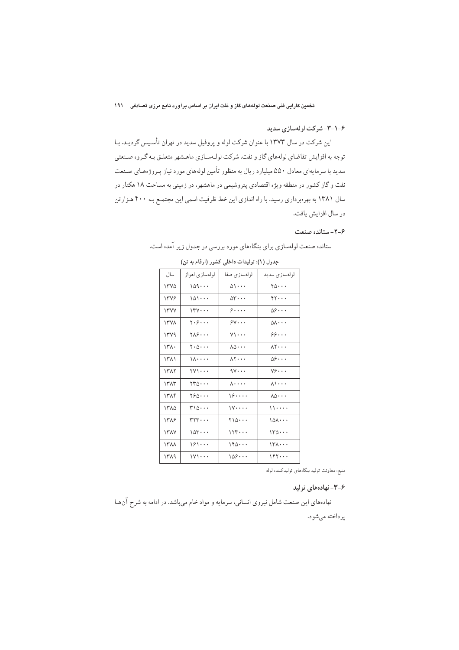#### ۶–۱–۳– شرکت لولهسازی سدید

این شرکت در سال ۱۳۷۳ با عنوان شرکت لوله و پروفیل سدید در تهران تأسیس گردیـد. بـا توجه به افزایش تقاضای لولههای گاز و نفت، شرکت لولهسازی ماهشهر متعلـق بـه گـروه صـنعتبی سدید با سرمایهای معادل ۵۵۰ میلیارد ریال به منظور تأمین لولههای مورد نیاز پـروژههـای صـنعت نفت و گاز کشور در منطقه ویژه اقتصادی پتروشیمی در ماهشهر، در زمینی به مساحت ۱۸ هکتار در سال ۱۳۸۱ به بهرهبرداری رسید. با راه اندازی این خط ظرفیت اسمی این مجتمـع بـه ۴۰۰ هـزارتن در سال افزايش يافت.

## 7-۶- ستانده صنعت

| جدول (۱): تولیدات داخلی کشور (ارقام به تن) |                                        |                       |                                   |  |
|--------------------------------------------|----------------------------------------|-----------------------|-----------------------------------|--|
| سال                                        | لولەسازى اھواز                         | لولەسازى صفا          | لولەسازى سديد                     |  |
| ۱۳۷۵                                       | ۱۵۹۰۰۰                                 | $0 \backslash \cdots$ | 60                                |  |
| ۱۳۷۶                                       | ۱۵۱۰۰۰                                 | $\delta r \cdots$     | rr                                |  |
| <b>ITYY</b>                                | $14.4 \cdot \cdot \cdot$               | , ۶                   | ۵۶۰۰۰                             |  |
| ۱۳۷۸                                       | ۲۰۶۰۰۰                                 | $\gamma$              | ۵۸۰۰۰                             |  |
| ۱۳۷۹                                       | ۲۸۶۰۰۰                                 | $\vee\cdot\cdot\cdot$ | ۶۶                                |  |
| ۱۳۸۰                                       | ۰۵۰۰۰ -                                | ۸۵۰۰۰                 | $\lambda$ $\cdot$ $\cdot$ $\cdot$ |  |
| ۱۳۸۱                                       | $1 \wedge \cdots$                      | $\lambda$ ۲ $\cdots$  | ۵۶۰۰۰                             |  |
| ۱۳۸۲                                       | 771                                    | $9Y \cdots$           | $v \hat{z} \cdots$                |  |
| ١٣٨٣                                       | ۲۳۵۰۰۰                                 | ۸۰۰۰۰                 | <b>Al</b>                         |  |
| ۱۳۸۴                                       | ۲۶۵۰۰۰                                 | 19                    | ۰۰۰∆۸                             |  |
| ۱۳۸۵                                       | ۳۱۵۰۰۰                                 | ۱۷۰۰۰۰                | ,,,,,,                            |  |
| ۱۳۸۶                                       | $\mathsf{r}\mathsf{r}\mathsf{r}\cdots$ | $\frac{1}{10}$        | ۱۵۸۰۰۰                            |  |
| ۱۳۸۷                                       | ۱۵۳۰۰۰                                 | ۱۲۳۰۰۰                | ۱۳۵۰۰۰                            |  |
| 1388                                       | 191                                    | ۱۴۵۰۰۰                | ۱۳۸۰۰۰                            |  |
| ۱۳۸۹                                       | ۱۷۱۰۰۰                                 | ۱۵۶۰۰۰                | ۱۴۲۰۰۰                            |  |
|                                            |                                        |                       |                                   |  |

ستانده صنعت لولهسازي براي بنگاههاي مورد بررسي در جدول زير آمده است.

منبع: معاونت تولید بنگاههای تولیدکننده لوله

۶-۳-نهادههای تولید

نهادههای این صنعت شامل نیروی انسانی، سرمایه و مواد خام میباشد. در ادامه به شرح آنها پرداخته ميشود.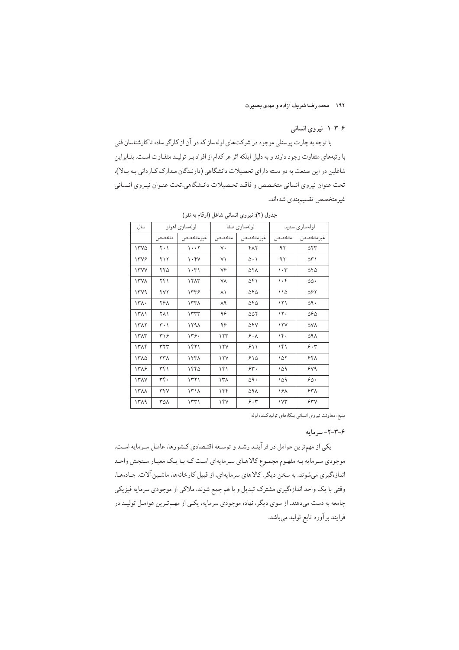# ۶–۲–۱–نیروی انسانی

با توجه به چارت پرسنلی موجود در شرکتهای لولهساز که در آن از کارگر ساده تاکارشناسان فنی با رتبههای متفاوت وجود دارند و به دلیل اینکه اثر هر کدام از افراد بـر تولیـد متفـاوت اسـت. بنــابراین شاغلین در این صنعت به دو دسته دارای تحصیلات دانشگاهی (دارنـدگان مـدارک کـاردانی بـه بـالا)، تحت عنوان نيروى انساني متخصص و فاقـد تحـصيلات دانـشگاهي،تحت عنـوان نيـروي انـساني غيرمتخصص تقسيمبندي شدهاند.

| سال         |                               | لولهسازي اهواز    |             | لولەسازى صفا |                                 | لولەسازى سديد              |
|-------------|-------------------------------|-------------------|-------------|--------------|---------------------------------|----------------------------|
|             | متخصص                         | غيرمتخصص          | ا متخصص     | غير متخصص    | متخصص                           | غير متخصص                  |
| <b>ITY0</b> | $\mathbf{Y} \cdot \mathbf{Y}$ | $1 \cdot \cdot 7$ | ٧٠          | ۴۸۲          | ۹۲                              | $\Delta \Upsilon \Upsilon$ |
| 1348        | ۲۱۲                           | $\cdot$ ۴۷        | ۷١          | $0 \cdot 1$  | ۹۲                              | ۵۳۱                        |
| <b>ITYY</b> | ۲۲۵                           | ۱۰۳۱              | ٧۶          | ۵۲۸          | $\mathcal{N} \cdot \mathcal{K}$ | ۵۴۵                        |
| <b>ITYA</b> | ۲۴۱                           | 1717              | ٧٨          | ۵۴۱          | $\cdot$ ۴                       | ۵۵.                        |
| 1449        | <b>YYY</b>                    | 1559              | ۸١          | ۵۴۵          | $\bigwedge$                     | ۵۶۲                        |
| 141.        | <b>788</b>                    | $\lambda$         | ۸۹          | ۵۴۵          | ۱۲۱                             | 09.                        |
| ۱۳۸۱        | ۲۸۱                           | 1557              | ۹۶          | ۵۵۲          | $\mathcal{N}$ .                 | 565                        |
| ١٣٨٢        | ۳۰۱                           | 1791              | ۹۶          | ۵۴۷          | 17Y                             | ۵۷۸                        |
| 1٣٨٣        | ۳۱۶                           | 149.              | ۱۲۳         | 9.1          | 16.                             | ۵۹۸                        |
| 1٣٨۴        | ٣٢٣                           | 1571              | $\sqrt{11}$ | ۶۱۱          | 141                             | 9.7                        |
| 1٣٨٥        | ۳۳۸                           | ١۴٣٨              | 17Y         | ۶۱۵          | ۱۵۲                             | ۶۲۸                        |
| 17A9        | ۳۴۱                           | ۱۴۴۵              | ۱۴۱         | $\gamma$ .   | ۱۵۹                             | 549                        |
| <b>ITAY</b> | ٣۴.                           | 1571              | ۱۳۸         | ۵۹۰          | ۱۵۹                             | $\varphi_{\Delta}$ .       |
| $\lambda$   | ٣۴٧                           | $171\lambda$      | ۱۴۴         | ۵۹۸          | ۱۶۸                             | ۶۳۸                        |
| 1419        | ۳۵۸                           | 1571              | ۱۴۷         | 9.5          | ۱۷۳                             | 540                        |

جدول (۲): نیروی انسانی شاغل (ارقام به نفر)

منبع: معاونت نیروی انسانی بنگاههای تولیدکننده لوله

#### ۶-۳-۲-سرمایه

یکی از مهمترین عوامل در فرآینـد رشـد و توسـعه اقتـصادی کـشورها، عامـل سـرمایه اسـت. موجودی سـرمایه بـه مفهـوم مجمـوع کالاهـای سـرمایهای اسـت کـه بـا یـک معیـار سـنجش واحـد اندازهگیری میشوند. به سخن دیگر، کالاهای سرمایهای، از قبیل کارخانهها، ماشـین آلات، جـادههـا، وقتی با یک واحد اندازهگیری مشترک تبدیل و با هم جمع شوند، ملاکی از موجودی سرمایه فیزیکی جامعه به دست میدهند. از سوی دیگر، نهاده موجودی سرمایه، یکـی از مهـمتـرین عوامـل تولیـد در فرایند برآورد تابع تولید میباشد.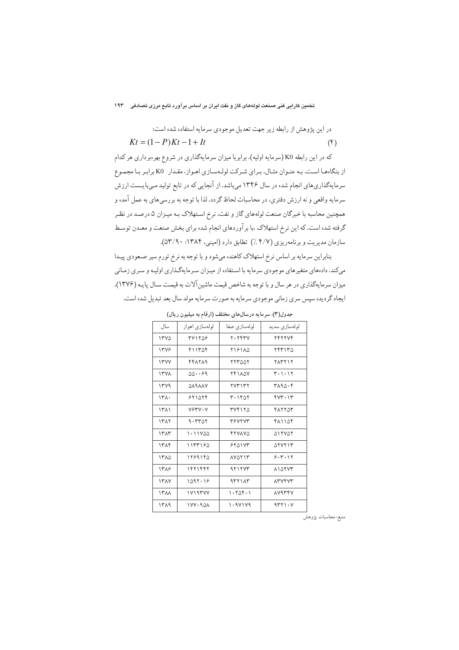## ۔<br>تخمین کارایی فنی صنعت لولههای گاز و نفت ایران بر اساس برآورد تابع مرزی تصادفی ۱۹۳

در این پژوهش از رابطه زیر جهت تعدیل موجودی سرمایه استفاده شده است:

$$
Kt = (1 - P)Kt - 1 + It
$$
\n<sup>( $\hat{r}$ )</sup>

که در این رابطه K0 (سرمایه اولیه)، برابربا میزان سرمایهگذاری در شروع بهرهبرداری هر کدام از بنگاهها است. به عنوان مثال، براي شركت لولهسازي اهواز، مقدار K0 برابر با مجموع سرمایهگذاریهای انجام شده در سال ۱۳۴۶ میباشد. از آنجایی که در تابع تولید مـیبایـست ارزش سرمايه واقعي و نه ارزش دفتري، در محاسبات لحاظ گردد. لذا با توجه به بررسيءاي به عمل آمده و همچنین محاسبه با خبرگان صنعت لولههای گاز و نفت، نرخ استهلاک بـه میـزان ۵ درصـد در نظـر گرفته شده است. که این نرخ استهلاک ،با بر آوردهای انجام شده برای بخش صنعت و معـدن توسـط سازمان مدیریت و برنامهریزی (۴/۷ ٪) تطابق دارد (امینی، ۱۳۸۴: ۵۳/۹۰).

بنابراین سرمایه بر اساس نرخ استهلاک کاهنده میشود و با توجه به نرخ تورم سیر صـعودی پیـدا میکند. دادههای متغیرهای موجودی سرمایه با استفاده از میـزان سـرمایهگـذاری اولیـه و سـری زمـانی میزان سرمایهگذاری در هر سال و با توجه به شاخص قیمت ماشین آلات به قیمت سـال پایـه (۱۳۷۶). ايجاد گرديده سپس سري زماني موجودي سرمايه به صورت سرمايه مولد سال بعد تبديل شده است.

| سال         | لولهسازي اهواز  | لولەسازى صفا  | لولەسازى سديد  |
|-------------|-----------------|---------------|----------------|
| 17Y0        | 381108          | Y. Y          | <b>TFTTVF</b>  |
| 1348        | ۴۱۱۳۵۴          | 119110        | ۲۴۳۱۳۵         |
| <b>IFYY</b> | 448889          | <b>TTTOOT</b> | <b>TATT17</b>  |
| <b>ITVA</b> | $00 \cdot 0.59$ | <b>74180V</b> | ۳۰۱۰۱۲         |
| 1449        | <b>DARAAV</b>   | <b>TV۳۱۳۲</b> | ۳۸۹۵۰۴         |
| ۱۳۸۰        | 551079          | ۳۰۱۴۵۲        | $fVT \cdot 1T$ |
| 1511        | VSTV.V          | ۳۷۴۱۲۵        | <b>FATTOT</b>  |
| 1317        | 9.550           | <b>TSVTVT</b> | 411104         |
| ١٣٨٣        | ۱۰۱۱۷۵۵         | FTYAVQ        | <b>DITVOT</b>  |
| ١٣٨۴        | ۱۱۳۳۱۶۵         | 5501Y         | $\Delta$       |
| ۱۳۸۵        | ۱۲۶۹۱۴۵         | <b>AVOTIT</b> | 9.7.11         |
| ۱۳۸۶        | ۱۴۲۱۴۴۲         | 4111YY        | <b>AIDTYT</b>  |
| <b>ITAY</b> | ۱۵۹۲۰۱۶         | 937117        | <b>ATVFVT</b>  |
| <b>ITAA</b> | 11197VV         | 1.705.1       | <b>AV9۳۴V</b>  |
| ۱۳۸۹        | <b>177.908</b>  | 1.9Y1Y9       | 4rr1.4         |

جدول(۳): سرمایه درسالهای مختلف (ارقام به میلیون ریال)

منبع: محاسبات پژوهش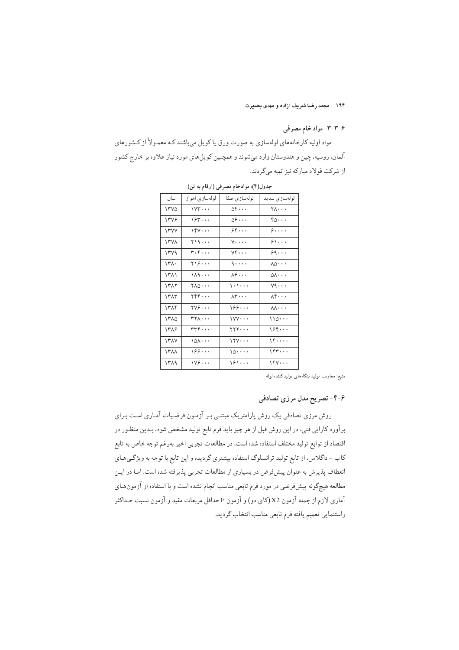۱۹۴ محمد رضا شریف آزاده و مهدی بصیرت

## ۶-۳-۳- مواد خام مصرفی

مواد اولیه کارخانههای لولهسازی به صورت ورق یا کویل میباشند کـه معمـولاً از کـشورهای آلمان، روسیه، چین و هندوستان وارد میشوند و همچنین کویلهای مورد نیاز علاوه بر خارج کشور از شرکت فولاد مبارکه نیز تهیه میگردند.

| جدوں( ۱): موادحام مصرفی (آرفام به تن) |                                                                                    |                                       |                                      |  |  |
|---------------------------------------|------------------------------------------------------------------------------------|---------------------------------------|--------------------------------------|--|--|
| سال                                   | لولهسازي اهواز                                                                     | لولەسازى صفا                          | لولەسازى سديد                        |  |  |
| ۱۳۷۵                                  | $1YY \cdots$                                                                       | $0 \mathfrak{f} \cdots$               | k                                    |  |  |
| ۱۳۷۶                                  | 154                                                                                | $09 \cdots$                           | $r_0 \cdots$                         |  |  |
| ۱۳۷۷                                  | $161 \cdots$                                                                       | ۶۴ $\cdots$                           | $\mathcal{S} \cdots$                 |  |  |
| ۱۳۷۸                                  | ۲۱۹۰۰۰                                                                             | $y \ldots$                            | $\mathcal{S} \setminus \cdots$       |  |  |
| ۱۳۷۹                                  | $\mathsf{r}\mathord{\cdot}\mathsf{r}\mathord{\cdot}\mathord{\cdot}\mathord{\cdot}$ | $\forall \mathfrak{f} \cdots$         | ۶۹۰۰۰                                |  |  |
| ۱۳۸۰                                  | ٢١۶٠٠.                                                                             | $\mathcal{L} \cdot \cdot \cdot \cdot$ | $\lambda\vartriangle\cdot\cdot\cdot$ |  |  |
| ۱۳۸۱                                  | $149 \cdots$                                                                       | $\lambda \hat{z} \cdots$              | $\circ$ v $\cdots$                   |  |  |
| ۱۳۸۲                                  | $\gamma$                                                                           | $\cdots$                              | $\vee$ 9 $\cdots$                    |  |  |
| ۱۳۸۳                                  | ۲۴۴۰۰۰                                                                             | $\lambda$ ۳ $\cdots$                  | $\lambda$ ۴ $\cdots$                 |  |  |
| ۱۳۸۴                                  | $\forall x \in \cdot \cdot \cdot$                                                  | 199                                   | $\lambda\lambda\cdots$               |  |  |
| ۱۳۸۵                                  | $\mathsf{r}\mathsf{r}\mathsf{v}\mathsf{r}\cdots$                                   | $\gamma$                              | 110                                  |  |  |
| ۱۳۸۶                                  | ۳۳۴۰۰۰                                                                             | $\mathbf{y}$                          | ۱۶۴۰۰۰                               |  |  |
| ۱۳۸۷                                  | $101 \cdots$                                                                       | 1114                                  | 16                                   |  |  |
| ۱۳۸۸                                  | ۱۶۶۰۰۰                                                                             | 10                                    | 154                                  |  |  |
| ۱۳۸۹                                  | 1199                                                                               | 181                                   | $164 \cdots$                         |  |  |

رقام به تن) جدول(۴): موادخام مصرفی (ا

منبع: معاونت تولید بنگاههای تولیدکننده لوله

۶-۴- تصریح مدل مرزی تصادفی

روش مرزی تصادفی یک روش پارامتریک مبتنـی بـر آزمـون فرضـیات آمـاری اسـت بـرای برآورد کارایی فنی، در این روش قبل از هر چیز باید فرم تابع تولید مشخص شود. بـدین منظـور در اقتصاد از توابع تولید مختلف استفاده شده است. در مطالعات تجربی اخیر بهرغم توجه خاص به تابع کاب - داگلاس، از تابع تولید ترانسلوگ استفاده بیشتری گردیده و این تابع با توجه به ویژگیهای انعطاف پذیرش به عنوان پیش،فرض در بسیاری از مطالعات تجربی پذیرفته شده است. امـا در ایـن مطالعه هیچگونه پیش(فرضی در مورد فرم تابعی مناسب انجام نشده است و با استفاده از آزمونهـای آماری لازم از جمله آزمون X2 (کای دو) و آزمون F حداقل مربعات مقید و آزمون نسبت حـداکثر راستنمايي تعميم يافته فرم تابعي مناسب انتخاب گرديد.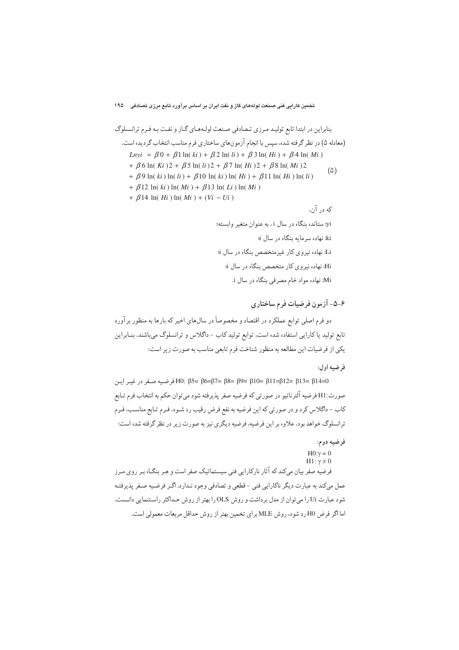۶-۵- آزمون فرضيات فرم ساختاري

دو فرم اصلی توابع عملکرد در اقتصاد و مخصوصاً در سالهای اخیر که بارها به منظور برآورد تابع تولید یا کارایی استفاده شده است، توابع تولید کاب - داگلاس و ترانسلوگ میباشند. بنـابراین يكي از فرضيات اين مطالعه به منظور شناخت فرم تابعي مناسب به صورت زير است:

## فرضيه اول:

θ5= β6=β7= β8= β9= β10= β11=β12= β13= β14=0 فرضيه صفر در غيـر ايـن صورت:H1 فرضيه آلترناتيو در صورتي كه فرضيه صفر يذيرفته شود مي توان حكم به انتخاب فرم تـابع کاب – داگلاس کرد و در صورتی که این فرضیه به نفع فرض رقیب رد شـود. فـرم تـابع مناسـب، فـرم ترانسلوگ خواهد بود. علاوه بر این فرضیه، فرضیه دیگری نیز به صورت زیر در نظر گرفته شده است:

## فرضيه دوم:

H0:γ = 0<br>H1: γ ≠ 0 فرضیه صفر بیان میکندکه آثار نارکارایی فنی سیستماتیک صفر است و هـر بنگـاه بـر روی مـرز عمل میکند به عبارت دیگر ناکارایی فنی -قطعی و تصادفی وجود نـدارد. اگـر فرضـیه صـفر پذیرفتـه شود عبارت Ui را می توان از مدل برداشت و روش OLS را بهتر از روش حـداکثر راسـتنمایی دانـست. اما اگر فرض H0 رد شود، روش MLE براي تخمين بهتر از روش حداقل مربعات معمولي است.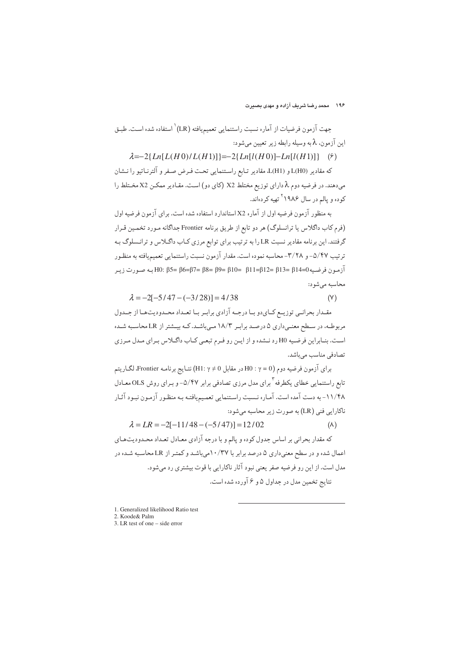جهت آزمون فرضيات از آماره نسبت راستنمايي تعميميافته (LR) ٰ استفاده شده است. طبـق اين آزمون، ٨ به وسيله رابطه زير تعيين مي شود:

 $\lambda = -2\{Ln[L(H0)/L(H1)]\} = -2\{Ln[I(H0)]-Ln[I(H1)]\}$  (9)

كه مقادير (L(H0) و (L(H1) مقادير تـابع راسـتنمايي تحـت فـرض صـفر و آلترنــاتيو را نــشان میدهند. در فرضیه دوم λ دارای توزیع مختلط X2 (کای دو) است. مقـادیر ممکـن X2 مخـتلط را کوده و یالم در سال ۱۹۸۶<sup>۲</sup> تهیه ک<sub>ر</sub> دهاند.

به منظور آزمون فرضیه اول از آماره X2 استاندارد استفاده شده است. برای آزمون فرضیه اول (فرم کاب داگلاس یا ترانسلوگ) هر دو تابع از طریق برنامه Frontier جداگانه مـورد تخمـین قـرار گرفتند. این برنامه مقادیر نسبت LR را به ترتیب برای توابع مرزی کـاب داگـلاس و ترانـسلوگ بـه ترتیب ۵/۴۷- و ۳/۲۸-محاسبه نموده است. مقدار آزمون نسبت راستنمایی تعمیمیافته به منظور آزمون فرضيه (β14=β13 = β12= β11=β12 = β13 = β5= β5= β5= β14 به صورت زير محاسبه مے شو د:

 $\lambda = -2[-5/47 - (-3/28)] = 4/38$  $(Y)$ 

مقـدار بحرانـبي توزيــع كــايدو بــا درجــه آزادي برابــر بــا تعــداد محــدوديتـهــا از جــدول مربوطـه، در سـطح معنـی،داری ۵ درصـد برابـر ۱۸/۳ مـی،باشـد. کـه بیــشتر از LR محاسـبه شـده است. بنـابراین فرضـیه H0 رد نـشده و از ایـن رو فـرم تبعـی کـاب داگـلاس بـرای مـدل مـرزی تصادفی مناسب میباشد.

براي آزمون فرضيه دوم (H0 : γ = 0 در مقابل H1: γ ≠ 0) نتـايج برنامـه Frontier، لگـاريتم تابع راستنمایی خطای یکطرفه <sup>۳</sup> برای مدل مرزی تصادفی برابر ۵/۴۷- و بـرای روش OLS معـادل ۱۱/۴۸- به دست آمده است. آماره نـسبت راسـتنمايي تعمـيميافتـه بـه منظـور آزمـون نبـود آثـار ناکارایی فنی (LR) به صورت زیر محاسبه می شود:

 $\lambda = LR = -2[-11/48 - (-5/47)] = 12/02$  $(\wedge)$ 

که مقدار بحرانی بر اساس جدول کوده و پالم و با درجه آزادی معـادل تعـداد محـدودیتهـای اعمال شده و در سطح معنیداری ۵ درصد برابر با ۱۰/۳۷میباشـد و کمتـر از LR محاسـبه شـده در مدل است. از این رو فرضیه صفر یعنی نبود آثار ناکارایی با قوت بیشتری رد می شود. نتایج تخمین مدل در جداول ۵ و ۶ آورده شده است.

1. Generalized likelihood Ratio test 2 Koode & Palm

 $\frac{2.666662 \text{ m}}{3 \text{ LR}}$  test of one – side error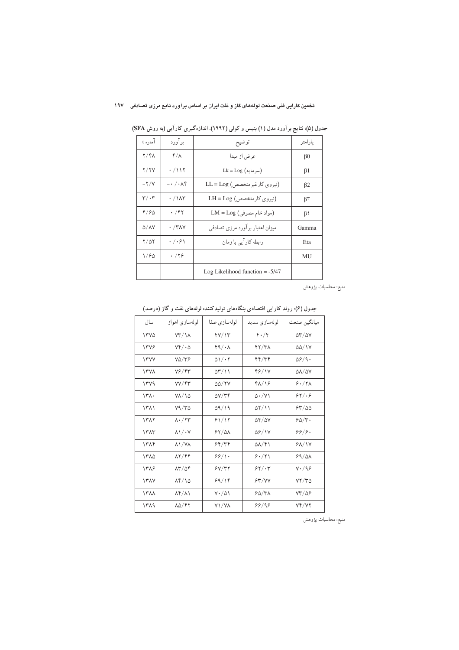## .<br>تخمین کارایی فنی صنعت لولههای گاز و نفت ایران بر اساس برآورد تابع مرزی تصادفی ۱۹۷

| آماره t                      | برآورد                       | توضيح                             | يارامتر        |
|------------------------------|------------------------------|-----------------------------------|----------------|
| $Y/F\Lambda$                 | ۴/۸                          | عرض از مبدا                       | $\beta$ 0      |
| Y/YV                         | .7117                        | $Lk = Log (u, u)$                 | $\beta$ 1      |
| $-\frac{y}{y}$               | $- \cdot / \cdot \wedge f$   | (نیروی کارغیرمتخصص) LL = Log      | $\beta$ 2      |
| $\mathbf{r}/\cdot\mathbf{r}$ | $\cdot$ / $\wedge\wedge\tau$ | (نیروی کارمتخصص) LH = Log         | $\beta^{\tau}$ |
| 4/90                         | ۰ /۴۲                        | (مواد خام مصرفي) LM = Log         | β٤             |
| $\Delta/\Delta V$            | $\cdot$ /۳۸۷                 | میزان اعتبار برآورد مرزی تصادفی   | Gamma          |
| $Y/\Delta Y$                 | $. / .$ ۶۱                   | رابطه کارآیی با زمان              | Eta            |
| 1/80                         | .799                         |                                   | MU             |
|                              |                              | Log Likelihood function $= -5/47$ |                |

جدول (۵): نتایج بر آورد مدل (۱) بتیس و کولی (۱۹۹۲)، اندازهگیری کار آیی (به روش SFA)

منبع: محاسبات پژوهش

| سال         | لولهسازی اهواز                         | لولەسازى صفا                  | لولەسازى سديد            | ميانگين صنعت                          |
|-------------|----------------------------------------|-------------------------------|--------------------------|---------------------------------------|
| ۱۳۷۵        | $YY/\lambda$                           | $f$ $V$ $\uparrow$ $\uparrow$ | $f \cdot / f$            | $\Delta \mathbf{r}/\Delta \mathbf{V}$ |
| 1348        | $Yf/\cdot \Delta$                      | $f \circ \lambda$             | 47/41                    | $\Delta\Delta/1$ Y                    |
| <b>ITYY</b> | $Y\Delta/Y$ ۶                          | $\Delta$ \ $/ \cdot 7$        | ۴۴/۳۴                    | $\Delta \mathcal{S}/\mathcal{A}$      |
| <b>ITVA</b> | 76/43                                  | $\Delta r/\lambda$            | 46/17                    | $\Delta\lambda/\Delta\rm{V}$          |
| 1449        | YY/FY                                  | 55/7Y                         | 41/16                    | 9.77                                  |
| 141.        | $Y/\sqrt{2}$                           | $\Delta V/\tau f$             | $\Delta \cdot /V$        | 84/8                                  |
| 1511        | Y9/YQ                                  | 09/19                         | $\Delta Y/\Delta$        | 63/00                                 |
| 1٣٨٢        | $\lambda \cdot / \tau$ ۳               | 81/17                         | $\Delta f/\Delta V$      | 50/r.                                 |
| 1٣٨٣        | $\lambda \frac{1}{1} \cdot \gamma$     | 54/21                         | $\Delta$ ۶/۱۷            | ۶۶/۶۰                                 |
| ۱۳۸۴        | $\lambda$ \/Y $\lambda$                | ۶۴/۳۴                         | $\Delta\lambda/\sqrt{1}$ | <b>88/17</b>                          |
| ۱۳۸۵        | $\lambda$ $\gamma$ / $\gamma$ $\gamma$ | 99/1.                         | 9.71                     | 99/21                                 |
| 1388        | $\lambda r/\Delta f$                   | 5Y/77                         | 55/14                    | $Y \cdot / 99$                        |
| <b>ITAY</b> | 14/10                                  | ۶۹/۱۴                         | 54/YY                    | YY/YQ                                 |
| <b>ITAA</b> | $\lambda f/\lambda$                    | $Y \cdot / \Delta Y$          | $50/7\lambda$            | $YY/\Delta9$                          |
| 1419        | $\lambda\Delta/FY$                     | Y\/YA                         | 99/99                    | <b>74/72</b>                          |

جدول (۶): روند کارایی اقتصادی بنگاههای تولیدکننده لولههای نفت و گاز (درصد)

منبع: محاسبات پژوهش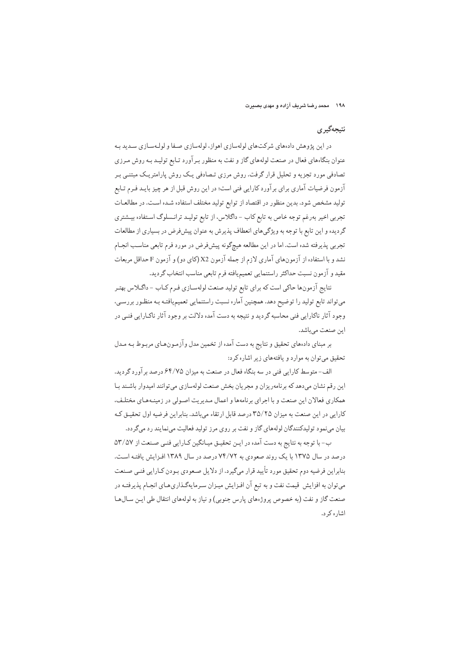۱۹۸ محمد رضا شریف آزاده و مهدی بصبرت

## نتيجەگېرى

در این پژوهش دادههای شرکتهای لولهسازی اهواز، لولهسازی صفا و لولهسازی سدید بـه عنوان بنگاههای فعال در صنعت لولههای گاز و نفت به منظور برآورد تـابع تولیـد بـه روش مـرزی تصادفی مورد تجزیه و تحلیل قرار گرفت. روش مرزی تـصادفی یـک روش پارامتریـک مبتنـی بـر آزمون فرضیات آماری برای برآورد کارایی فنی است؛ در این روش قبل از هر چیز بایـد فـرم تـابع تولید مشخص شود. بدین منظور در اقتصاد از توابع تولید مختلف استفاده شـده اسـت. در مطالعـات تجربي اخير بەرغم توجه خاص به تابع كاب - داگلاس، از تابع توليـد ترانـسلوگ اسـتفاده بيـشتري گردیده و این تابع با توجه به ویژگیهای انعطاف پذیرش به عنوان پیشفرض در بسیاری از مطالعات تجربي پذيرفته شده است. اما در اين مطالعه هيچگونه پيشفرض در مورد فرم تابعي مناسب انجـام نشد و با استفاده از آزمونهای آماری لازم از جمله آزمون X2(کای دو) و آزمون F حداقل مربعات مقيد و آزمون نسبت حداكثر راستنمايي تعميميافته فرم تابعي مناسب انتخاب گرديد.

نتايج آزمونها حاكي است كه براي تابع توليد صنعت لولهسـازي فـرم كــاب - داگــلاس بهتـر میتواند تابع تولید را توضیح دهد. همچنین آماره نسبت راستنمایی تعمیمپافتـه بـه منظـور بررسـی، وجود آثار ناکارایی فنی محاسبه گردید و نتیجه به دست آمده دلالت بر وجود آثار ناکـارایی فنـی در اين صنعت ميباشد.

بر مبنای دادههای تحقیق و نتایج به دست آمده از تخمین مدل وآزمـونهـای مربـوط بـه مـدل تحقیق می توان به موارد و یافتههای زیر اشاره کرد:

الف-متوسط كارايي فني در سه بنگاه فعال در صنعت به ميزان ۶۴/۷۵ درصد برآورد گرديد. این رقم نشان میدهد که برنامهریزان و مجریان بخش صنعت لولهسازی می توانند امیدوار باشـند بـا همکاري فعالان اين صنعت و با اجراي برنامهها و اعمال مـديريت اصـولي در زمينـههـاي مختلـف، کارایی در این صنعت به میزان ۳۵/۲۵ درصد قابل ارتقاء میباشد. بنابراین فرضیه اول تحقیـق کـه بیان مینمود تولیدکنندگان لولههای گاز و نفت بر روی مرز تولید فعالیت مینمایند رد میگردد.

ب- با توجه به نتايج به دست آمده در ايـن تحقيـق ميـانگين كـارايي فنـي صـنعت از ٥٢/٥٧ درصد در سال ۱۳۷۵ با یک روند صعودی به ۷۴/۷۲ درصد در سال ۱۳۸۹ افـزایش یافتـه اسـت. بنابراین فرضیه دوم تحقیق مورد تأیید قرار میگیرد. از دلایل صعودی بـودن کـارایی فنـی صـنعت میتوان به افزایش قیمت نفت و به تبع آن افـزایش میـزان سـرمایهگـذاریهـای انجـام پذیرفتـه در صنعت گاز و نفت (به خصوص پروژههای پارس جنوبی) و نیاز به لولههای انتقال طی ایـن سـالهـا اشا, ه ک د.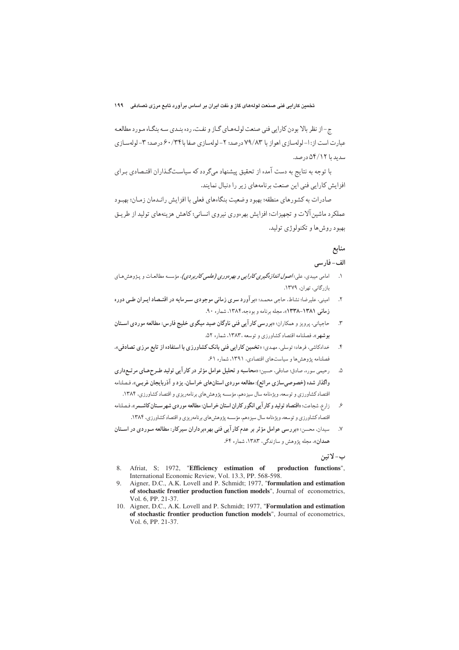ج-از نظر بالا بودن كارايي فني صنعت لولـههـاي گـاز و نفـت، رده بنـدي سـه بنگـاه مـورد مطالعـه عبارت است از: ۱– لولهسازی اهواز با ۷۹/۸۳ درصد؛ ۲– لولهسازی صفا با۰/۳۴/ درصد؛ ۳– لولهسـازی سدید با ۵۴/۱۲ درصد.

با توجه به نتایج به دست آمده از تحقیق پیشنهاد میگردد که سیاستگذاران اقتـصادی بـرای افزایش کارایی فنی این صنعت برنامههای زیر را دنبال نمایند.

صاد. ات به کشو, های منطقه؛ بهبود وضعیت بنگاههای فعلی با افزایش رانـدمان زمـان؛ بهبـود عملکر د ماشین آلات و تجهیزات؛ افزایش بهرهوری نیروی انسانی؛ کاهش هزینههای تولید از طریـق پهېو د روش ها و تکنولو ژي توليد.

# منابع

# الف-فارسى

- امامي ميبدي، علي:*اصول اندازهگيري كارايي و بهرهوري (علمي كاربردي)*، مؤسسه مطالعـات و پـژوهش هـاي  $\overline{\phantom{a}}$ باز رگانی، تھران، ۱۳۷۹.
- امینی، علیرضا؛ نشاط، حاجی محمد؛ «بر آورد سری زمانی موجودی سـرمایه در اقتـصاد ایـران طـی دوره  $\mathbf{r}$ زمانی ۱۳۸۱-۱۳۳۸)، مجله برنامه و بودجه،۱۳۸۴، شماره ۹۰.
- حاجیانی، پرویز و همکاران: «بررسی کار آیی فنی ناوگان صید میگوی خلیج فارس: مطالعه موردی استان  $\mathbf{r}$ **بوشهر»، فصلنامه اقتصاد کشاورزی و توسعه ۱۳۸۳، شماره ۵۲.**
- خدادکاشی، فرهاد؛ توسلی، مهـدي؛ «تخمین کارایی فنی بانک کشاورزی با استفاده از تابع مرزی تصادفی».  $\cdot$ فصلنامه پژوهش ها و سیاستهای اقتصادی، ۱۳۹۱، شماره ۶۱.
- رحيمي سوره، صادق؛ صادقي، حسين: «محاسبه و تحليل عوامل مؤثر در كار آيي توليد طـرحمـاي مرتـع(اري  $\Delta$ واگذار شده (خصوصیسازی مراتع): مطالعه موردی استانهای خراسان، یزد و آذربایجان غربی». فـصلنامه .<br>اقتصاد کشاورزی و توسعه، ویژهنامه سال سیزدهم، مؤسسه پژوهش های برنامهریزی و اقتصاد کشاورزی، ۱۳۸۴.
- <sub>ذ</sub>ارع، شجاعت؛ «اقتصا**د توليد و كار آبي انگور كاران استان خراسان: مطالعه موردي شهر ســتان كاشــمر »، فـصلنامه**  $\mathcal{S}$ اقتصاد کشاورزی و توسعه، ویژهنامه سال سیزدهم، مؤسسه یژوهش های برنامهریزی و اقتصاد کشاورزی، ۱۳۸۴.
- سیدان، محسن؛ «بررسی عوامل مؤثر بر عدم کار آیی فنی بهر دبرداران سیرکار: مطالعه مـوردی در اسـتان  $\cdot$ . $\vee$ همدان»، مجله یژوهش و سازندگی، ۱۳۸۳، شماره ۶۴.

## ب-لاتين

- 8. Afriat, S; 1972, "Efficiency estimation of production functions", International Economic Review, Vol. 13.3, PP. 568-598.
- 9. Aigner, D.C., A.K. Lovell and P. Schmidt; 1977, "formulation and estimation of stochastic frontier production function models", Journal of econometrics, Vol. 6, PP. 21-37.
- 10. Aigner, D.C., A.K. Lovell and P. Schmidt; 1977, "Formulation and estimation of stochastic frontier production function models", Journal of econometrics, Vol. 6, PP. 21-37.